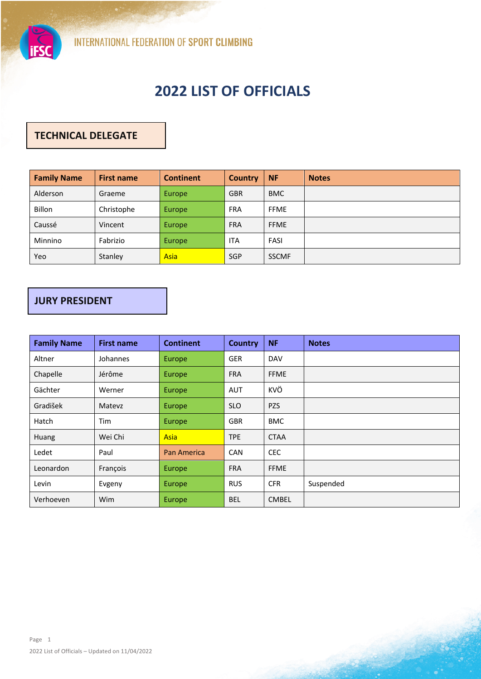

# **2022 LIST OF OFFICIALS**

## **TECHNICAL DELEGATE**

| <b>Family Name</b> | <b>First name</b> | <b>Continent</b> | <b>Country</b> | <b>NF</b>    | <b>Notes</b> |
|--------------------|-------------------|------------------|----------------|--------------|--------------|
| Alderson           | Graeme            | Europe           | <b>GBR</b>     | <b>BMC</b>   |              |
| <b>Billon</b>      | Christophe        | Europe           | <b>FRA</b>     | <b>FFME</b>  |              |
| Caussé             | Vincent           | Europe           | <b>FRA</b>     | <b>FFME</b>  |              |
| Minnino            | Fabrizio          | Europe           | <b>ITA</b>     | FASI         |              |
| Yeo                | Stanley           | Asia             | <b>SGP</b>     | <b>SSCMF</b> |              |

### **JURY PRESIDENT**

| <b>Family Name</b> | <b>First name</b> | <b>Continent</b>   | <b>Country</b> | <b>NF</b>    | <b>Notes</b> |
|--------------------|-------------------|--------------------|----------------|--------------|--------------|
| Altner             | Johannes          | Europe             | <b>GER</b>     | DAV          |              |
| Chapelle           | Jérôme            | Europe             | <b>FRA</b>     | <b>FFME</b>  |              |
| Gächter            | Werner            | Europe             | <b>AUT</b>     | KVÖ          |              |
| Gradišek           | Matevz            | Europe             | <b>SLO</b>     | <b>PZS</b>   |              |
| Hatch              | Tim               | Europe             | <b>GBR</b>     | <b>BMC</b>   |              |
| Huang              | Wei Chi           | <b>Asia</b>        | <b>TPE</b>     | <b>CTAA</b>  |              |
| Ledet              | Paul              | <b>Pan America</b> | <b>CAN</b>     | <b>CEC</b>   |              |
| Leonardon          | François          | Europe             | <b>FRA</b>     | <b>FFME</b>  |              |
| Levin              | Evgeny            | Europe             | <b>RUS</b>     | <b>CFR</b>   | Suspended    |
| Verhoeven          | Wim               | Europe             | <b>BEL</b>     | <b>CMBEL</b> |              |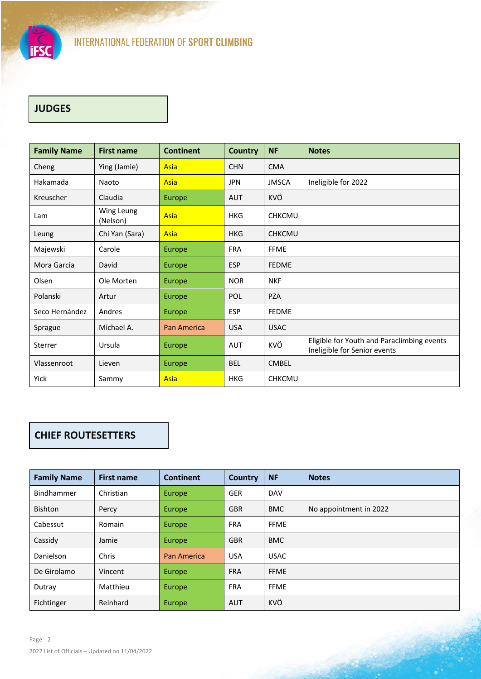

# **JUDGES**

| <b>Family Name</b> | <b>First name</b>      | <b>Continent</b>   | <b>Country</b> | <b>NF</b>     | <b>Notes</b>                                                               |
|--------------------|------------------------|--------------------|----------------|---------------|----------------------------------------------------------------------------|
| Cheng              | Ying (Jamie)           | Asia               | <b>CHN</b>     | <b>CMA</b>    |                                                                            |
| Hakamada           | Naoto                  | Asia               | <b>JPN</b>     | <b>JMSCA</b>  | Ineligible for 2022                                                        |
| Kreuscher          | Claudia                | Europe             | <b>AUT</b>     | KVÖ           |                                                                            |
| Lam                | Wing Leung<br>(Nelson) | Asia               | <b>HKG</b>     | <b>CHKCMU</b> |                                                                            |
| Leung              | Chi Yan (Sara)         | Asia               | <b>HKG</b>     | <b>CHKCMU</b> |                                                                            |
| Majewski           | Carole                 | Europe             | <b>FRA</b>     | <b>FFME</b>   |                                                                            |
| Mora Garcia        | David                  | Europe             | <b>ESP</b>     | <b>FEDME</b>  |                                                                            |
| Olsen              | Ole Morten             | Europe             | <b>NOR</b>     | <b>NKF</b>    |                                                                            |
| Polanski           | Artur                  | Europe             | POL            | <b>PZA</b>    |                                                                            |
| Seco Hernández     | Andres                 | Europe             | <b>ESP</b>     | <b>FEDME</b>  |                                                                            |
| Sprague            | Michael A.             | <b>Pan America</b> | <b>USA</b>     | <b>USAC</b>   |                                                                            |
| Sterrer            | Ursula                 | Europe             | <b>AUT</b>     | KVÖ           | Eligible for Youth and Paraclimbing events<br>Ineligible for Senior events |
| Vlassenroot        | Lieven                 | Europe             | <b>BEL</b>     | <b>CMBEL</b>  |                                                                            |
| Yick               | Sammy                  | Asia               | <b>HKG</b>     | <b>CHKCMU</b> |                                                                            |

## **CHIEF ROUTESETTERS**

| <b>Family Name</b> | <b>First name</b> | <b>Continent</b>   | Country    | <b>NF</b>   | <b>Notes</b>           |
|--------------------|-------------------|--------------------|------------|-------------|------------------------|
| <b>Bindhammer</b>  | Christian         | Europe             | <b>GER</b> | <b>DAV</b>  |                        |
| <b>Bishton</b>     | Percy             | Europe             | <b>GBR</b> | <b>BMC</b>  | No appointment in 2022 |
| Cabessut           | Romain            | <b>Europe</b>      | <b>FRA</b> | <b>FFME</b> |                        |
| Cassidy            | Jamie             | Europe             | <b>GBR</b> | <b>BMC</b>  |                        |
| Danielson          | Chris             | <b>Pan America</b> | <b>USA</b> | <b>USAC</b> |                        |
| De Girolamo        | Vincent           | Europe             | <b>FRA</b> | <b>FFME</b> |                        |
| Dutray             | Matthieu          | <b>Europe</b>      | <b>FRA</b> | <b>FFME</b> |                        |
| Fichtinger         | Reinhard          | <b>Europe</b>      | <b>AUT</b> | KVÖ         |                        |

فللأنفذ فيتعدد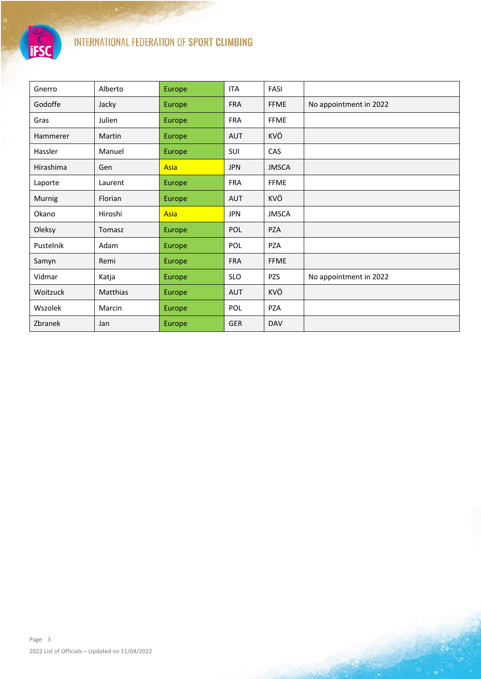

# INTERNATIONAL FEDERATION OF SPORT CLIMBING

| Gnerro    | Alberto  | Europe | <b>ITA</b> | FASI         |                        |
|-----------|----------|--------|------------|--------------|------------------------|
| Godoffe   | Jacky    | Europe | <b>FRA</b> | <b>FFME</b>  | No appointment in 2022 |
| Gras      | Julien   | Europe | <b>FRA</b> | <b>FFME</b>  |                        |
| Hammerer  | Martin   | Europe | <b>AUT</b> | KVÖ          |                        |
| Hassler   | Manuel   | Europe | SUI        | CAS          |                        |
| Hirashima | Gen      | Asia   | <b>JPN</b> | <b>JMSCA</b> |                        |
| Laporte   | Laurent  | Europe | <b>FRA</b> | <b>FFME</b>  |                        |
| Murnig    | Florian  | Europe | <b>AUT</b> | KVÖ          |                        |
| Okano     | Hiroshi  | Asia   | JPN        | <b>JMSCA</b> |                        |
| Oleksy    | Tomasz   | Europe | POL        | <b>PZA</b>   |                        |
| Pustelnik | Adam     | Europe | POL        | <b>PZA</b>   |                        |
| Samyn     | Remi     | Europe | <b>FRA</b> | <b>FFME</b>  |                        |
| Vidmar    | Katja    | Europe | <b>SLO</b> | PZS          | No appointment in 2022 |
| Woitzuck  | Matthias | Europe | AUT        | KVÖ          |                        |
| Wszolek   | Marcin   | Europe | POL        | PZA          |                        |
| Zbranek   | Jan      | Europe | <b>GER</b> | <b>DAV</b>   |                        |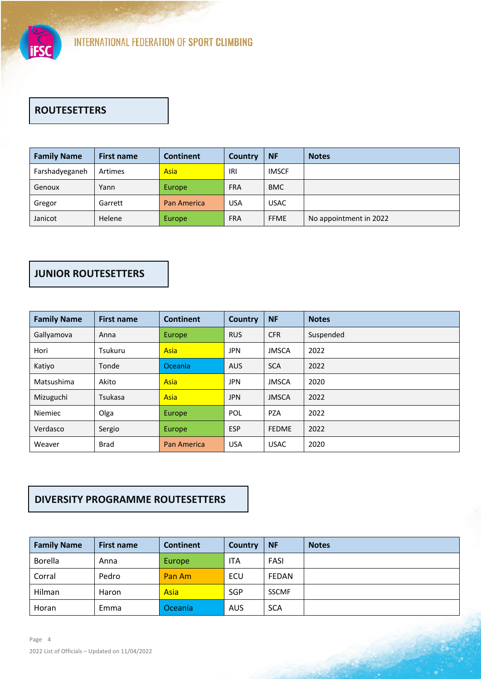

# **ROUTESETTERS**

| <b>Family Name</b> | <b>First name</b> | <b>Continent</b>   | Country    | <b>NF</b>    | <b>Notes</b>           |
|--------------------|-------------------|--------------------|------------|--------------|------------------------|
| Farshadyeganeh     | Artimes           | Asia               | IRI        | <b>IMSCF</b> |                        |
| Genoux             | Yann              | Europe             | <b>FRA</b> | <b>BMC</b>   |                        |
| Gregor             | Garrett           | <b>Pan America</b> | <b>USA</b> | <b>USAC</b>  |                        |
| Janicot            | Helene            | Europe             | <b>FRA</b> | <b>FFME</b>  | No appointment in 2022 |

### **JUNIOR ROUTESETTERS**

| <b>Family Name</b> | <b>First name</b> | <b>Continent</b>   | <b>Country</b> | <b>NF</b>    | <b>Notes</b> |
|--------------------|-------------------|--------------------|----------------|--------------|--------------|
| Gallyamova         | Anna              | Europe             | <b>RUS</b>     | <b>CFR</b>   | Suspended    |
| Hori               | Tsukuru           | <b>Asia</b>        | <b>JPN</b>     | <b>JMSCA</b> | 2022         |
| Katiyo             | Tonde             | Oceania            | <b>AUS</b>     | <b>SCA</b>   | 2022         |
| Matsushima         | Akito             | <b>Asia</b>        | <b>JPN</b>     | <b>JMSCA</b> | 2020         |
| Mizuguchi          | Tsukasa           | <b>Asia</b>        | <b>JPN</b>     | <b>JMSCA</b> | 2022         |
| Niemiec            | Olga              | Europe             | POL            | <b>PZA</b>   | 2022         |
| Verdasco           | Sergio            | Europe             | <b>ESP</b>     | <b>FEDME</b> | 2022         |
| Weaver             | <b>Brad</b>       | <b>Pan America</b> | <b>USA</b>     | <b>USAC</b>  | 2020         |

#### **DIVERSITY PROGRAMME ROUTESETTERS**

| <b>Family Name</b> | <b>First name</b> | <b>Continent</b> | Country    | <b>NF</b>    | <b>Notes</b> |
|--------------------|-------------------|------------------|------------|--------------|--------------|
| Borella            | Anna              | Europe           | <b>ITA</b> | FASI         |              |
| Corral             | Pedro             | Pan Am           | ECU        | <b>FEDAN</b> |              |
| Hilman             | Haron             | Asia             | <b>SGP</b> | <b>SSCMF</b> |              |
| Horan              | Emma              | Oceania          | <b>AUS</b> | <b>SCA</b>   |              |

العراق ويدعهم